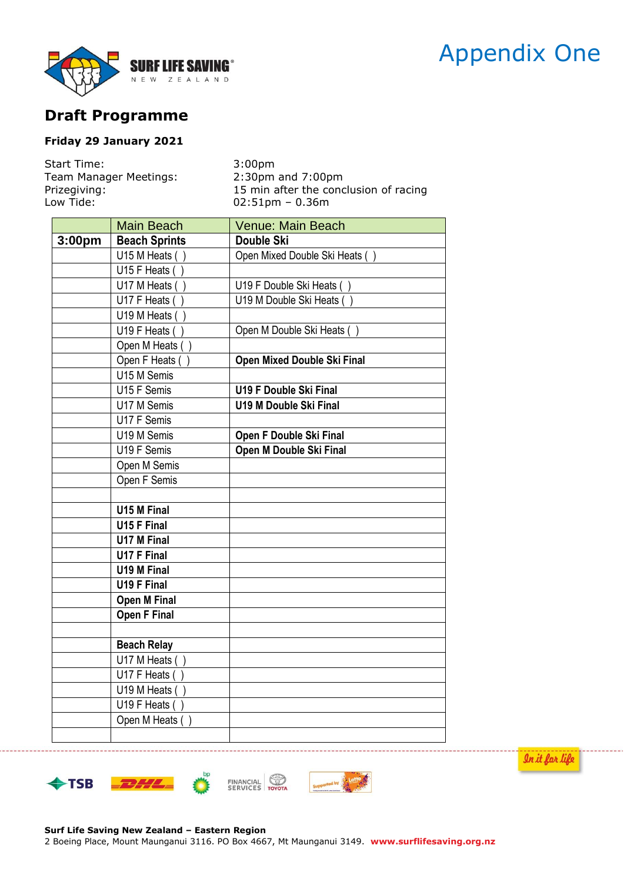# Appendix One



# **Draft Programme**

## **Friday 29 January 2021**

| Start Time:            | 3:00 <sub>pm</sub>                    |
|------------------------|---------------------------------------|
| Team Manager Meetings: | $2:30$ pm and $7:00$ pm               |
| Prizegiving:           | 15 min after the conclusion of racing |
| Low Tide:              | $02:51$ pm – 0.36m                    |

|        | <b>Main Beach</b>           | <b>Venue: Main Beach</b>      |
|--------|-----------------------------|-------------------------------|
| 3:00pm | <b>Beach Sprints</b>        | <b>Double Ski</b>             |
|        | $\overline{U}$ 15 M Heats ( | Open Mixed Double Ski Heats ( |
|        | U15 F Heats (               |                               |
|        | U17 M Heats (               | U19 F Double Ski Heats ()     |
|        | U17 F Heats (               | U19 M Double Ski Heats ()     |
|        | U19 M Heats (               |                               |
|        | U19 F Heats (               | Open M Double Ski Heats ()    |
|        | Open M Heats ()             |                               |
|        | Open F Heats                | Open Mixed Double Ski Final   |
|        | U15 M Semis                 |                               |
|        | U15 F Semis                 | <b>U19 F Double Ski Final</b> |
|        | U17 M Semis                 | <b>U19 M Double Ski Final</b> |
|        | U17 F Semis                 |                               |
|        | U19 M Semis                 | Open F Double Ski Final       |
|        | U19 F Semis                 | Open M Double Ski Final       |
|        | Open M Semis                |                               |
|        | Open F Semis                |                               |
|        |                             |                               |
|        | U15 M Final                 |                               |
|        | U15 F Final                 |                               |
|        | <b>U17 M Final</b>          |                               |
|        | <b>U17 F Final</b>          |                               |
|        | U19 M Final                 |                               |
|        | <b>U19 F Final</b>          |                               |
|        | <b>Open M Final</b>         |                               |
|        | Open F Final                |                               |
|        |                             |                               |
|        | <b>Beach Relay</b>          |                               |
|        | $\overline{U17}$ M Heats (  |                               |
|        | U17 F Heats (               |                               |
|        | U19 M Heats (               |                               |
|        | U19 F Heats                 |                               |
|        | Open M Heats ()             |                               |
|        |                             |                               |







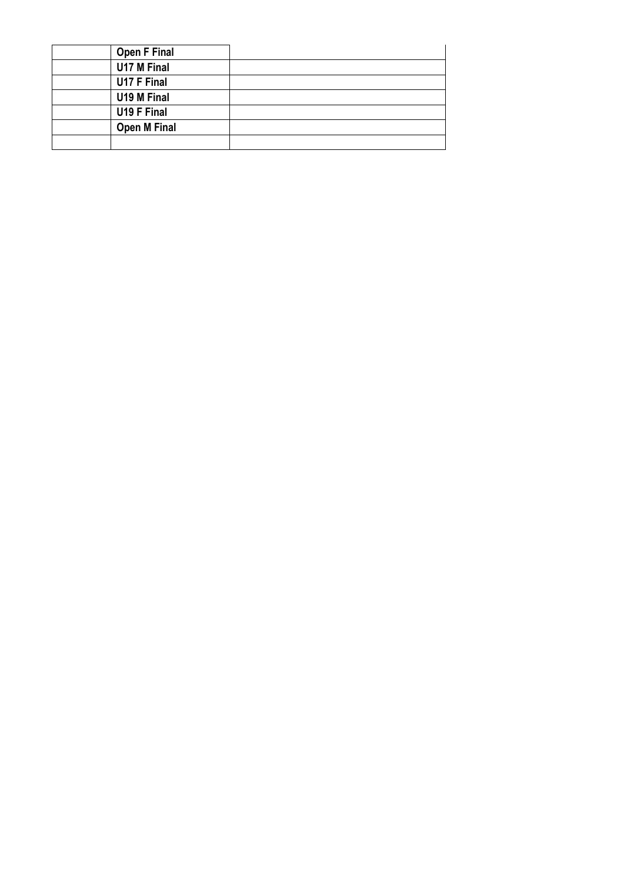| <b>Open F Final</b> |  |
|---------------------|--|
| U17 M Final         |  |
| U17 F Final         |  |
| U19 M Final         |  |
| U19 F Final         |  |
| <b>Open M Final</b> |  |
|                     |  |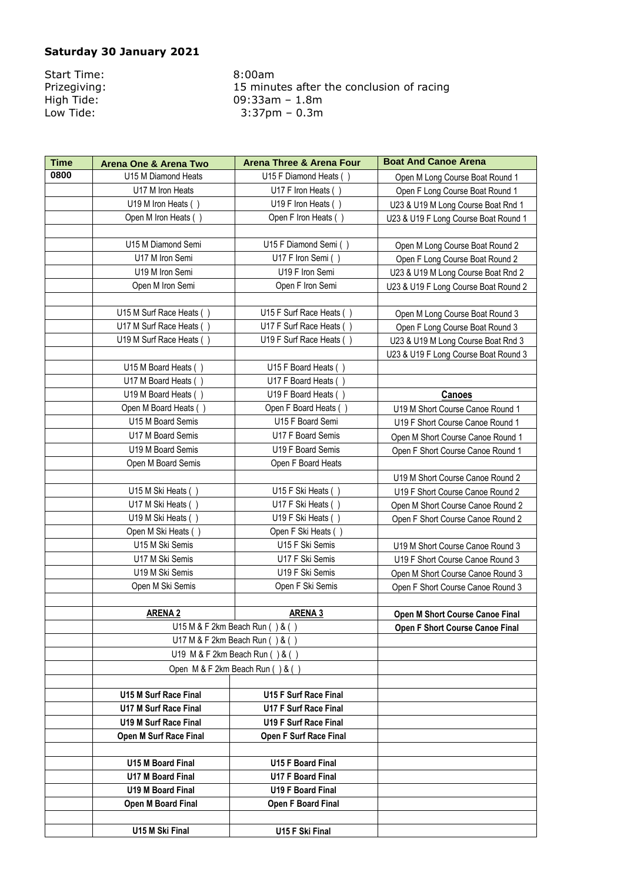### **Saturday 30 January 2021**

Start Time: 8:00am<br>Prizegiving: 15 minu

Prizegiving:<br>
High Tide:<br>
Low Tide:<br>
Low Tide:<br>
1.3.37pm – 0.3m High Tide: 09:33am – 1.8m Low Tide: 3:37pm – 0.3m

| <b>Time</b> | <b>Arena One &amp; Arena Two</b>                                             | <b>Arena Three &amp; Arena Four</b> | <b>Boat And Canoe Arena</b>            |
|-------------|------------------------------------------------------------------------------|-------------------------------------|----------------------------------------|
| 0800        | U15 M Diamond Heats                                                          | U15 F Diamond Heats                 | Open M Long Course Boat Round 1        |
|             | U17 M Iron Heats                                                             | U17 F Iron Heats ()                 | Open F Long Course Boat Round 1        |
|             | U19 M Iron Heats ()                                                          | U19 F Iron Heats ()                 | U23 & U19 M Long Course Boat Rnd 1     |
|             | Open M Iron Heats ()                                                         | Open F Iron Heats (                 | U23 & U19 F Long Course Boat Round 1   |
|             |                                                                              |                                     |                                        |
|             | U15 M Diamond Semi                                                           | U15 F Diamond Semi ()               | Open M Long Course Boat Round 2        |
|             | U17 M Iron Semi                                                              | U17 F Iron Semi (                   | Open F Long Course Boat Round 2        |
|             | U19 M Iron Semi                                                              | U19 F Iron Semi                     | U23 & U19 M Long Course Boat Rnd 2     |
|             | Open M Iron Semi                                                             | Open F Iron Semi                    | U23 & U19 F Long Course Boat Round 2   |
|             |                                                                              |                                     |                                        |
|             | U15 M Surf Race Heats ()                                                     | U15 F Surf Race Heats ()            | Open M Long Course Boat Round 3        |
|             | U17 M Surf Race Heats ()                                                     | U17 F Surf Race Heats ()            | Open F Long Course Boat Round 3        |
|             | U19 M Surf Race Heats ()                                                     | U19 F Surf Race Heats ()            | U23 & U19 M Long Course Boat Rnd 3     |
|             |                                                                              |                                     | U23 & U19 F Long Course Boat Round 3   |
|             | U15 M Board Heats ()                                                         | U15 F Board Heats ()                |                                        |
|             | U17 M Board Heats ()                                                         | U17 F Board Heats (                 |                                        |
|             | U19 M Board Heats ()                                                         | U19 F Board Heats ()                | Canoes                                 |
|             | Open M Board Heats ()                                                        | Open F Board Heats ()               | U19 M Short Course Canoe Round 1       |
|             | U15 M Board Semis                                                            | U15 F Board Semi                    | U19 F Short Course Canoe Round 1       |
|             | U17 M Board Semis                                                            | U17 F Board Semis                   | Open M Short Course Canoe Round 1      |
|             | U19 M Board Semis                                                            | U19 F Board Semis                   | Open F Short Course Canoe Round 1      |
|             | Open M Board Semis                                                           | Open F Board Heats                  |                                        |
|             |                                                                              |                                     | U19 M Short Course Canoe Round 2       |
|             | U15 M Ski Heats (                                                            | U15 F Ski Heats (                   | U19 F Short Course Canoe Round 2       |
|             | U17 M Ski Heats ()                                                           | U17 F Ski Heats ()                  | Open M Short Course Canoe Round 2      |
|             | U19 M Ski Heats ()                                                           | U19 F Ski Heats ()                  | Open F Short Course Canoe Round 2      |
|             | Open M Ski Heats (                                                           | Open F Ski Heats (                  |                                        |
|             | U15 M Ski Semis                                                              | U15 F Ski Semis                     | U19 M Short Course Canoe Round 3       |
|             | U17 M Ski Semis                                                              | U17 F Ski Semis                     | U19 F Short Course Canoe Round 3       |
|             | U19 M Ski Semis                                                              | U19 F Ski Semis                     | Open M Short Course Canoe Round 3      |
|             | Open M Ski Semis                                                             | Open F Ski Semis                    | Open F Short Course Canoe Round 3      |
|             |                                                                              |                                     |                                        |
|             | <b>ARENA 2</b>                                                               | <b>ARENA 3</b>                      | <b>Open M Short Course Canoe Final</b> |
|             |                                                                              | U15 M & F 2km Beach Run $( ) & ( )$ | Open F Short Course Canoe Final        |
|             | U17 M & F 2km Beach Run () & ()                                              |                                     |                                        |
|             | U19 M & F 2km Beach Run (<br>$\left( \begin{array}{c} 2 \end{array} \right)$ |                                     |                                        |
|             | Open M & F 2km Beach Run () & ()                                             |                                     |                                        |
|             |                                                                              |                                     |                                        |
|             | U15 M Surf Race Final                                                        | U15 F Surf Race Final               |                                        |
|             | <b>U17 M Surf Race Final</b>                                                 | <b>U17 F Surf Race Final</b>        |                                        |
|             | U19 M Surf Race Final                                                        | <b>U19 F Surf Race Final</b>        |                                        |
|             | Open M Surf Race Final                                                       | <b>Open F Surf Race Final</b>       |                                        |
|             |                                                                              |                                     |                                        |
|             | U15 M Board Final                                                            | U15 F Board Final                   |                                        |
|             | <b>U17 M Board Final</b>                                                     | <b>U17 F Board Final</b>            |                                        |
|             | <b>U19 M Board Final</b>                                                     | <b>U19 F Board Final</b>            |                                        |
|             | Open M Board Final                                                           | Open F Board Final                  |                                        |
|             |                                                                              |                                     |                                        |
|             | U15 M Ski Final                                                              | U15 F Ski Final                     |                                        |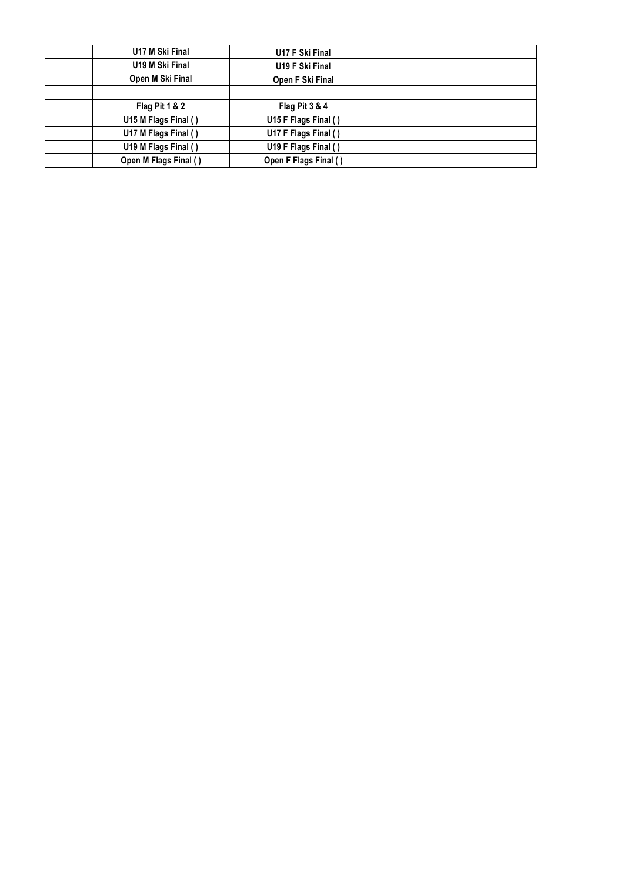| U17 M Ski Final       | U17 F Ski Final       |  |
|-----------------------|-----------------------|--|
| U19 M Ski Final       | U19 F Ski Final       |  |
| Open M Ski Final      | Open F Ski Final      |  |
|                       |                       |  |
| Flag Pit 1 & 2        | Flag Pit 3 & 4        |  |
| U15 M Flags Final ()  | U15 F Flags Final ()  |  |
| U17 M Flags Final ()  | U17 F Flags Final ()  |  |
| U19 M Flags Final ()  | U19 F Flags Final ()  |  |
| Open M Flags Final () | Open F Flags Final () |  |